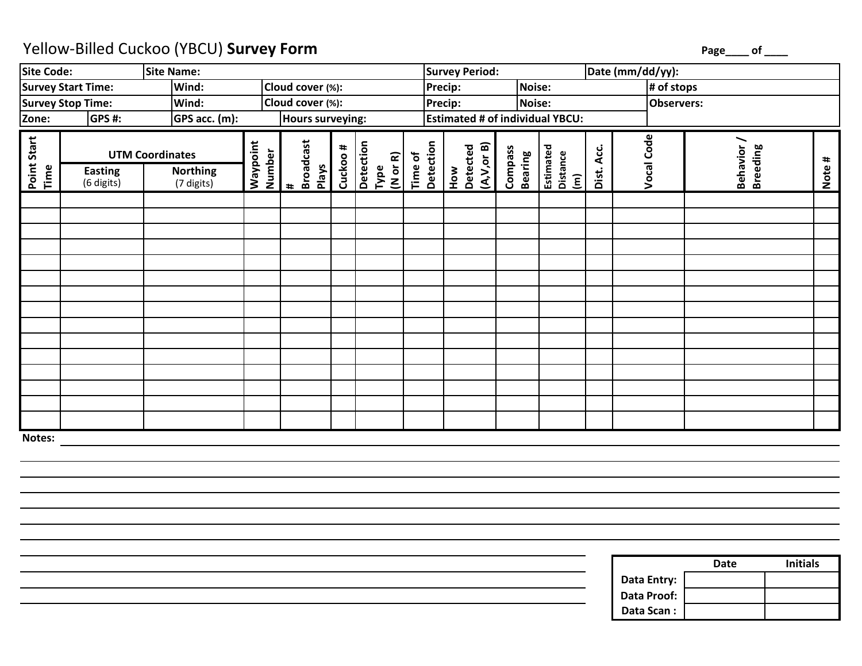## Yellow-Billed Cuckoo (YBCU) **Survey Form**

**Page\_\_\_\_ of \_\_\_\_**

| Site Code:                      |                                                                                         | Site Name: |  |                                                     |          |                                         |                                        | <b>Survey Period:</b>           |                                  |                                                  | Date (mm/dd/yy): |                   |                              |        |  |
|---------------------------------|-----------------------------------------------------------------------------------------|------------|--|-----------------------------------------------------|----------|-----------------------------------------|----------------------------------------|---------------------------------|----------------------------------|--------------------------------------------------|------------------|-------------------|------------------------------|--------|--|
|                                 | Survey Start Time:                                                                      | Wind:      |  | Cloud cover (%):                                    |          |                                         |                                        | <b>Noise:</b><br>Precip:        |                                  |                                                  |                  | # of stops        |                              |        |  |
|                                 | Survey Stop Time:                                                                       | Wind:      |  | Cloud cover (%):                                    |          |                                         |                                        | <b>Precip:</b>                  | Noise:                           |                                                  |                  | <b>Observers:</b> |                              |        |  |
| GPS acc. (m):<br>GPS#:<br>Zone: |                                                                                         |            |  | Hours surveying:                                    |          |                                         | <b>Estimated # of individual YBCU:</b> |                                 |                                  |                                                  |                  |                   |                              |        |  |
| Point Start<br>Time             | <b>UTM Coordinates</b><br><b>Northing</b><br><b>Easting</b><br>(6 digits)<br>(7 digits) |            |  | <b>Broadcast</b><br>Number<br>Plays<br>$\pmb{\ast}$ | Cuckoo # | Detection<br>Time of<br>(Mor R)<br>Type | Detection                              | (A, V, or B)<br>Detected<br>How | <b>Compass</b><br><b>Bearing</b> | Estimated<br>Distance<br>$\boxed{\widehat{\Xi}}$ | Acc.<br>Dist.    | Vocal Code        | Behavior/<br><b>Breeding</b> | Note # |  |
|                                 |                                                                                         |            |  |                                                     |          |                                         |                                        |                                 |                                  |                                                  |                  |                   |                              |        |  |
|                                 |                                                                                         |            |  |                                                     |          |                                         |                                        |                                 |                                  |                                                  |                  |                   |                              |        |  |
|                                 |                                                                                         |            |  |                                                     |          |                                         |                                        |                                 |                                  |                                                  |                  |                   |                              |        |  |
|                                 |                                                                                         |            |  |                                                     |          |                                         |                                        |                                 |                                  |                                                  |                  |                   |                              |        |  |
|                                 |                                                                                         |            |  |                                                     |          |                                         |                                        |                                 |                                  |                                                  |                  |                   |                              |        |  |
|                                 |                                                                                         |            |  |                                                     |          |                                         |                                        |                                 |                                  |                                                  |                  |                   |                              |        |  |
|                                 |                                                                                         |            |  |                                                     |          |                                         |                                        |                                 |                                  |                                                  |                  |                   |                              |        |  |
|                                 |                                                                                         |            |  |                                                     |          |                                         |                                        |                                 |                                  |                                                  |                  |                   |                              |        |  |
|                                 |                                                                                         |            |  |                                                     |          |                                         |                                        |                                 |                                  |                                                  |                  |                   |                              |        |  |
|                                 |                                                                                         |            |  |                                                     |          |                                         |                                        |                                 |                                  |                                                  |                  |                   |                              |        |  |
|                                 |                                                                                         |            |  |                                                     |          |                                         |                                        |                                 |                                  |                                                  |                  |                   |                              |        |  |
|                                 |                                                                                         |            |  |                                                     |          |                                         |                                        |                                 |                                  |                                                  |                  |                   |                              |        |  |
|                                 |                                                                                         |            |  |                                                     |          |                                         |                                        |                                 |                                  |                                                  |                  |                   |                              |        |  |
|                                 |                                                                                         |            |  |                                                     |          |                                         |                                        |                                 |                                  |                                                  |                  |                   |                              |        |  |
|                                 |                                                                                         |            |  |                                                     |          |                                         |                                        |                                 |                                  |                                                  |                  |                   |                              |        |  |
| Notes:                          |                                                                                         |            |  |                                                     |          |                                         |                                        |                                 |                                  |                                                  |                  |                   |                              |        |  |

|             | Date | <b>Initials</b> |
|-------------|------|-----------------|
| Data Entry: |      |                 |
| Data Proof: |      |                 |
| Data Scan:  |      |                 |